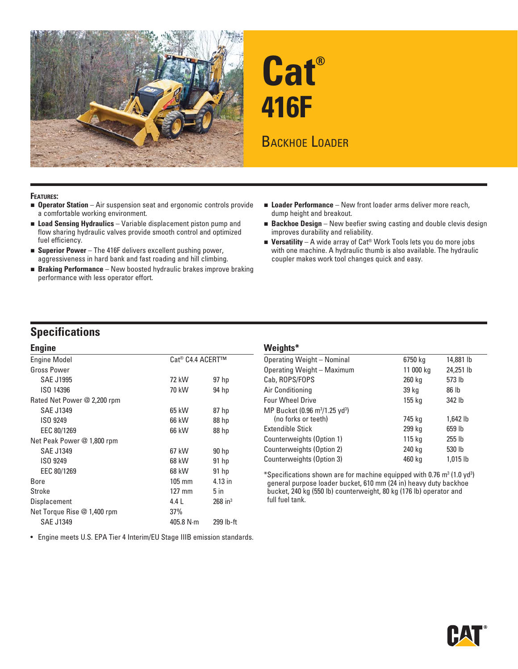



#### **FEATURES:**

- **Operator Station** Air suspension seat and ergonomic controls provide a comfortable working environment.
- **Load Sensing Hydraulics** Variable displacement piston pump and flow sharing hydraulic valves provide smooth control and optimized fuel efficiency.
- **Superior Power** The 416F delivers excellent pushing power, aggressiveness in hard bank and fast roading and hill climbing.
- **Braking Performance** New boosted hydraulic brakes improve braking performance with less operator effort.
- **Loader Performance** New front loader arms deliver more reach, dump height and breakout.
- **Backhoe Design** New beefier swing casting and double clevis design improves durability and reliability.
- Versatility A wide array of Cat<sup>®</sup> Work Tools lets you do more jobs with one machine. A hydraulic thumb is also available. The hydraulic coupler makes work tool changes quick and easy.

# **Specifications**

| <b>Engine</b>               |                  |                       |  |  |  |  |  |
|-----------------------------|------------------|-----------------------|--|--|--|--|--|
| <b>Engine Model</b>         | Cat® C4.4 ACERT™ |                       |  |  |  |  |  |
| <b>Gross Power</b>          |                  |                       |  |  |  |  |  |
| <b>SAE J1995</b>            | 72 kW            | 97 hp                 |  |  |  |  |  |
| ISO 14396                   | 70 kW            | 94 hp                 |  |  |  |  |  |
| Rated Net Power @ 2,200 rpm |                  |                       |  |  |  |  |  |
| <b>SAE J1349</b>            | 65 kW            | 87 hp                 |  |  |  |  |  |
| ISO 9249                    | 66 kW            | 88 hp                 |  |  |  |  |  |
| EEC 80/1269                 | 66 kW            | 88 hp                 |  |  |  |  |  |
| Net Peak Power @ 1,800 rpm  |                  |                       |  |  |  |  |  |
| <b>SAE J1349</b>            | 67 kW            | 90 hp                 |  |  |  |  |  |
| ISO 9249                    | 68 kW            | 91 <sub>hp</sub>      |  |  |  |  |  |
| EEC 80/1269                 | 68 kW            | 91 <sub>hp</sub>      |  |  |  |  |  |
| Bore                        | $105 \text{ mm}$ | 4.13 in               |  |  |  |  |  |
| Stroke                      | $127 \text{ mm}$ | $5$ in                |  |  |  |  |  |
| Displacement                | 4.4L             | $268$ in <sup>3</sup> |  |  |  |  |  |
| Net Torque Rise @ 1,400 rpm | 37%              |                       |  |  |  |  |  |
| <b>SAE J1349</b>            | 405.8 N·m        | 299 lb-ft             |  |  |  |  |  |

• Engine meets U.S. EPA Tier 4 Interim/EU Stage IIIB emission standards.

#### **Weights\*** Operating Weight – Nominal 6750 kg 14,881 lb Operating Weight – Maximum 11 000 kg 24,251 lb Cab, ROPS/FOPS 260 kg 573 lb Air Conditioning 39 kg 39 kg 86 lb Four Wheel Drive 155 kg 342 lb MP Bucket (0.96 m<sup>3</sup>/1.25 yd<sup>3</sup>) (no forks or teeth) 745 kg 1,642 lb Extendible Stick 299 kg 659 lb Counterweights (Option 1) 115 kg 255 lb Counterweights (Option 2) 240 kg 530 lb Counterweights (Option 3) 460 kg 1,015 lb

\*Specifications shown are for machine equipped with 0.76  $m^3$  (1.0 yd<sup>3</sup>) general purpose loader bucket, 610 mm (24 in) heavy duty backhoe bucket, 240 kg (550 lb) counterweight, 80 kg (176 lb) operator and full fuel tank.

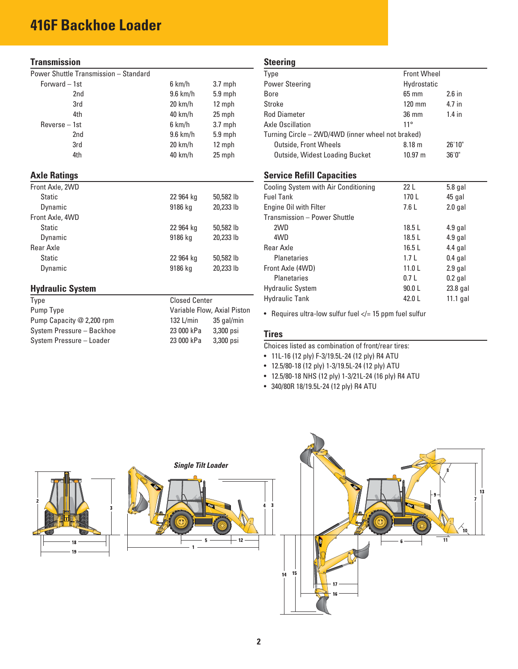# **416F Backhoe Loader**

## **Transmission**

| Power Shuttle Transmission - Standard |  |  |  |
|---------------------------------------|--|--|--|
|---------------------------------------|--|--|--|

| r ower Shutue Transmission – Stanuaru |                             |            |  |  |
|---------------------------------------|-----------------------------|------------|--|--|
| Forward - 1st                         | 6 km/h                      | $3.7$ mph  |  |  |
| 2nd                                   | $9.6$ km/h                  | 5.9 mph    |  |  |
| 3rd                                   | $20 \text{ km/h}$           | 12 mph     |  |  |
| 4th                                   | 40 km/h                     | 25 mph     |  |  |
| $Reverse - 1st$                       | 6 km/h                      | $3.7$ mph  |  |  |
| 2nd                                   | $9.6$ km/h                  | $5.9$ mph  |  |  |
| 3rd                                   | $20 \text{ km/h}$           | 12 mph     |  |  |
| 4th                                   | 40 km/h                     | 25 mph     |  |  |
| <b>Axle Ratings</b>                   |                             |            |  |  |
| Front Axle, 2WD                       |                             |            |  |  |
| <b>Static</b>                         | 22 964 kg                   | 50,582 lb  |  |  |
| Dynamic                               | 9186 kg                     | 20,233 lb  |  |  |
| Front Axle, 4WD                       |                             |            |  |  |
| <b>Static</b>                         | 22 964 kg                   | 50,582 lb  |  |  |
| Dynamic                               | 9186 kg                     | 20,233 lb  |  |  |
| Rear Axle                             |                             |            |  |  |
| <b>Static</b>                         | 22 964 kg                   | 50,582 lb  |  |  |
| Dynamic                               | 9186 kg                     | 20,233 lb  |  |  |
| <b>Hydraulic System</b>               |                             |            |  |  |
| Type                                  | <b>Closed Center</b>        |            |  |  |
| Pump Type                             | Variable Flow, Axial Piston |            |  |  |
| Pump Capacity @ 2,200 rpm             | 132 L/min                   | 35 gal/min |  |  |
| System Pressure - Backhoe             | 23 000 kPa                  | 3,300 psi  |  |  |
| System Pressure - Loader              | 23 000 kPa<br>3,300 psi     |            |  |  |

#### **Steering**

| ,,,,,,,,,                                         |                   |                    |  |  |  |
|---------------------------------------------------|-------------------|--------------------|--|--|--|
| Type                                              |                   | <b>Front Wheel</b> |  |  |  |
| <b>Power Steering</b>                             |                   | Hydrostatic        |  |  |  |
| Bore                                              | $65 \text{ mm}$   | $2.6$ in           |  |  |  |
| Stroke                                            | $120 \text{ mm}$  | 4.7 in             |  |  |  |
| <b>Rod Diameter</b>                               | $36 \text{ mm}$   | $1.4$ in           |  |  |  |
| Axle Oscillation                                  | $11^{\circ}$      |                    |  |  |  |
| Turning Circle - 2WD/4WD (inner wheel not braked) |                   |                    |  |  |  |
| <b>Outside, Front Wheels</b>                      | 8.18 <sub>m</sub> | 26'10"             |  |  |  |
| Outside, Widest Loading Bucket                    | $10.97 \; m$      | 36'0''             |  |  |  |

#### **Service Refill Capacities**

| Cooling System with Air Conditioning | 22 <sub>L</sub>   | $5.8$ gal  |
|--------------------------------------|-------------------|------------|
| <b>Fuel Tank</b>                     | 170L              | 45 gal     |
| Engine Oil with Filter               | 7.6L              | $2.0$ gal  |
| Transmission - Power Shuttle         |                   |            |
| 2WD                                  | 18.5L             | $4.9$ gal  |
| 4WD                                  | 18.5L             | $4.9$ gal  |
| Rear Axle                            | 16.5L             | $4.4$ gal  |
| <b>Planetaries</b>                   | 1.7L              | $0.4$ gal  |
| Front Axle (4WD)                     | 11.0 <sub>L</sub> | $2.9$ gal  |
| <b>Planetaries</b>                   | 0.7 <sub>L</sub>  | $0.2$ gal  |
| <b>Hydraulic System</b>              | 90.0 L            | $23.8$ gal |
| <b>Hydraulic Tank</b>                | 42.0 L            | 11.1 gal   |

• Requires ultra-low sulfur fuel  $\lt$  = 15 ppm fuel sulfur

#### **Tires**

Choices listed as combination of front/rear tires:

- 11L-16 (12 ply) F-3/19.5L-24 (12 ply) R4 ATU
- 12.5/80-18 (12 ply) 1-3/19.5L-24 (12 ply) ATU
- 12.5/80-18 NHS (12 ply) 1-3/21L-24 (16 ply) R4 ATU
- 340/80R 18/19.5L-24 (12 ply) R4 ATU

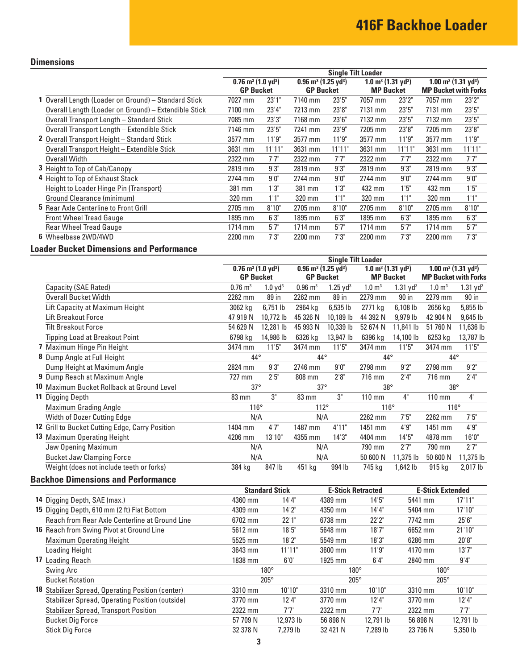## **Dimensions**

|                                                      | <b>Single Tilt Loader</b>                                                                     |        |           |                                           |           |                                            |           |                             |  |
|------------------------------------------------------|-----------------------------------------------------------------------------------------------|--------|-----------|-------------------------------------------|-----------|--------------------------------------------|-----------|-----------------------------|--|
|                                                      | $0.96$ m <sup>3</sup> (1.25 yd <sup>3</sup> )<br>$0.76$ m <sup>3</sup> (1.0 yd <sup>3</sup> ) |        |           | $1.0 \text{ m}^3$ (1.31 yd <sup>3</sup> ) |           | $1.00 \text{ m}^3$ (1.31 yd <sup>3</sup> ) |           |                             |  |
|                                                      | <b>GP Bucket</b>                                                                              |        |           | <b>GP Bucket</b>                          |           | <b>MP Bucket</b>                           |           | <b>MP Bucket with Forks</b> |  |
| 1 Overall Length (Loader on Ground) - Standard Stick | 7027 mm                                                                                       | 23'1'' | 7140 mm   | 23'5''                                    | 7057 mm   | 23'2"                                      | 7057 mm   | 23'2"                       |  |
| Overall Length (Loader on Ground) - Extendible Stick | 7100 mm                                                                                       | 23'4'' | 7213 mm   | 23'8"                                     | 7131 mm   | 23'5''                                     | 7131 mm   | 23'5''                      |  |
| Overall Transport Length - Standard Stick            | 7085 mm                                                                                       | 23'3'' | 7168 mm   | 23'6''                                    | 7132 mm   | 23'5''                                     | 7132 mm   | 23'5''                      |  |
| Overall Transport Length - Extendible Stick          | 7146 mm                                                                                       | 23'5'' | 7241 mm   | 23'9"                                     | 7205 mm   | 23'8"                                      | 7205 mm   | 23'8"                       |  |
| 2 Overall Transport Height - Standard Stick          | 3577 mm                                                                                       | 11'9"  | 3577 mm   | 11'9''                                    | 3577 mm   | 11'9''                                     | 3577 mm   | 11'9''                      |  |
| Overall Transport Height - Extendible Stick          | 3631 mm                                                                                       | 11'11" | 3631 mm   | 11'11"                                    | 3631 mm   | 11'11"                                     | 3631 mm   | 11'11"                      |  |
| <b>Overall Width</b>                                 | 2322 mm                                                                                       | 7'7''  | 2322 mm   | 7'7"                                      | 2322 mm   | 7'7''                                      | 2322 mm   | 7'7''                       |  |
| <b>3</b> Height to Top of Cab/Canopy                 | 2819 mm                                                                                       | 9'3''  | 2819 mm   | 9'3"                                      | 2819 mm   | 9'3"                                       | 2819 mm   | 9'3"                        |  |
| 4 Height to Top of Exhaust Stack                     | 2744 mm                                                                                       | 9'0''  | 2744 mm   | 9'0''                                     | 2744 mm   | 9'0''                                      | 2744 mm   | 9'0''                       |  |
| Height to Loader Hinge Pin (Transport)               | 381 mm                                                                                        | 1'3''  | 381 mm    | 1'3"                                      | 432 mm    | 1'5''                                      | 432 mm    | 1'5''                       |  |
| Ground Clearance (minimum)                           | 320 mm                                                                                        | 1'1"   | 320 mm    | 1'1''                                     | 320 mm    | 1'1''                                      | 320 mm    | 1'1''                       |  |
| <b>5</b> Rear Axle Centerline to Front Grill         | 2705 mm                                                                                       | 8'10"  | 2705 mm   | 8'10"                                     | 2705 mm   | 8'10"                                      | 2705 mm   | 8'10"                       |  |
| <b>Front Wheel Tread Gauge</b>                       | 1895 mm                                                                                       | 6'3''  | 1895 mm   | 6'3''                                     | 1895 mm   | 6'3''                                      | 1895 mm   | 6'3''                       |  |
| <b>Rear Wheel Tread Gauge</b>                        | $1714$ mm                                                                                     | 5'7''  | $1714$ mm | 5'7''                                     | $1714$ mm | 5'7''                                      | $1714$ mm | 5'7''                       |  |
| 6 Wheelbase 2WD/4WD                                  | 2200 mm                                                                                       | 7'3''  | 2200 mm   | 7'3"                                      | 2200 mm   | 7'3''                                      | 2200 mm   | 7'3''                       |  |

# **Loader Bucket Dimensions and Performance**

|                                                 | <b>Single Tilt Loader</b>                                                                                                                  |                       |                        |                     |                   |                                        |                    |                             |  |
|-------------------------------------------------|--------------------------------------------------------------------------------------------------------------------------------------------|-----------------------|------------------------|---------------------|-------------------|----------------------------------------|--------------------|-----------------------------|--|
|                                                 | $0.96$ m <sup>3</sup> (1.25 yd <sup>3</sup> )<br>$0.76$ m <sup>3</sup> (1.0 yd <sup>3</sup> )<br>$1.0 \text{ m}^3$ (1.31 yd <sup>3</sup> ) |                       |                        |                     |                   | $1.00 \text{ m}^3 (1.31 \text{ yd}^3)$ |                    |                             |  |
|                                                 | <b>GP Bucket</b>                                                                                                                           |                       |                        | <b>GP Bucket</b>    |                   | <b>MP Bucket</b>                       |                    | <b>MP Bucket with Forks</b> |  |
| Capacity (SAE Rated)                            | $0.76 \text{ m}^3$                                                                                                                         | $1.0$ yd <sup>3</sup> | $0.96 \; \mathrm{m}^3$ | $1.25 \text{ yd}^3$ | $1.0 \text{ m}^3$ | $1.31$ yd <sup>3</sup>                 | 1.0 m <sup>3</sup> | $1.31$ yd <sup>3</sup>      |  |
| <b>Overall Bucket Width</b>                     | 2262 mm                                                                                                                                    | 89 in                 | 2262 mm                | 89 in               | 2279 mm           | 90 in                                  | 2279 mm            | 90 in                       |  |
| Lift Capacity at Maximum Height                 | 3062 kg                                                                                                                                    | $6,751$ lb            | 2964 kg                | $6,535$ lb          | 2771 kg           | 6,108 lb                               | 2656 kg            | 5,855 lb                    |  |
| Lift Breakout Force                             | 47 919 N                                                                                                                                   | 10,772 lb             | 45 326 N               | 10,189 lb           | 44 392 N          | 9,979 lb                               | 42 904 N           | 9,645 lb                    |  |
| <b>Tilt Breakout Force</b>                      | 54 629 N                                                                                                                                   | 12,281 lb             | 45 993 N               | 10,339 lb           | 52 674 N          | 11,841 lb                              | 51 760 N           | 11,636 lb                   |  |
| Tipping Load at Breakout Point                  | 6798 kg                                                                                                                                    | 14,986 lb             | 6326 kg                | 13,947 lb           | 6396 kg           | 14,100 lb                              | 6253 kg            | 13,787 lb                   |  |
| 7 Maximum Hinge Pin Height                      | 3474 mm                                                                                                                                    | 11'5"                 | 3474 mm                | 11'5''              | 3474 mm           | 11'5"                                  | 3474 mm            | 11'5''                      |  |
| Dump Angle at Full Height                       | $44^{\circ}$                                                                                                                               |                       | $44^{\circ}$           |                     | $44^{\circ}$      |                                        | $44^{\circ}$       |                             |  |
| Dump Height at Maximum Angle                    | 2824 mm                                                                                                                                    | 9'3''                 | 2746 mm                | 9'0''               | 2798 mm           | 9'2"                                   | 2798 mm            | 9'2"                        |  |
| <b>9</b> Dump Reach at Maximum Angle            | 727 mm                                                                                                                                     | 2'5''                 | 808 mm                 | 2'8''               | 716 mm            | 2'4"                                   | 716 mm             | 2'4"                        |  |
| 10 Maximum Bucket Rollback at Ground Level      | $37^\circ$                                                                                                                                 |                       | $37^\circ$             |                     | $38^{\circ}$      |                                        | $38^{\circ}$       |                             |  |
| 11 Digging Depth                                | 83 mm                                                                                                                                      | 3"                    | 83 mm                  | 3"                  | $110$ mm          | 4"                                     | $110 \text{ mm}$   | 4"                          |  |
| <b>Maximum Grading Angle</b>                    | $116^\circ$                                                                                                                                |                       | $112^\circ$            |                     | $116^\circ$       |                                        | $116^\circ$        |                             |  |
| <b>Width of Dozer Cutting Edge</b>              | N/A                                                                                                                                        |                       | N/A                    |                     | 2262 mm           | 7'5''                                  | 2262 mm            | 7'5''                       |  |
| 12 Grill to Bucket Cutting Edge, Carry Position | 1404 mm                                                                                                                                    | 4'7''                 | 1487 mm                | 4'11"               | 1451 mm           | 4'9''                                  | 1451 mm            | 4'9''                       |  |
| 13 Maximum Operating Height                     | 4206 mm                                                                                                                                    | 13'10"                | 4355 mm                | 14'3''              | 4404 mm           | 14'5''                                 | 4878 mm            | 16'0''                      |  |
| Jaw Opening Maximum                             | N/A                                                                                                                                        |                       | N/A                    |                     | 790 mm            | 2'7''                                  | 790 mm             | 2'7''                       |  |
| <b>Bucket Jaw Clamping Force</b>                | N/A                                                                                                                                        |                       | N/A                    |                     | 50 600 N          | 11,375 lb                              | 50 600 N           | 11,375 lb                   |  |
| Weight (does not include teeth or forks)        | 384 kg                                                                                                                                     | 847 lb                | 451 kg                 | 994 lb              | 745 kg            | 1,642 lb                               | 915 kg             | 2,017 lb                    |  |

# **Backhoe Dimensions and Performance**

|                                                        | <b>Standard Stick</b> |           | <b>E-Stick Retracted</b> |           | <b>E-Stick Extended</b> |           |  |
|--------------------------------------------------------|-----------------------|-----------|--------------------------|-----------|-------------------------|-----------|--|
| <b>14</b> Digging Depth, SAE (max.)                    | 4360 mm               | 14'4"     | 4389 mm                  | 14'5''    | 5441 mm                 | 17'11"    |  |
| 15 Digging Depth, 610 mm (2 ft) Flat Bottom            | 4309 mm               | 14'2''    | 4350 mm                  | 14'4"     | 5404 mm                 | 17'10"    |  |
| Reach from Rear Axle Centerline at Ground Line         | 6702 mm               | 22'1"     | 6738 mm                  | 22'2"     | 7742 mm                 | 25'6''    |  |
| <b>16</b> Reach from Swing Pivot at Ground Line        | 5612 mm               | 18'5''    | 5648 mm                  | 18'7''    | 6652 mm                 | 21'10"    |  |
| <b>Maximum Operating Height</b>                        | 5525 mm               | 18'2"     | 5549 mm                  | 18'3''    | 6286 mm                 | 20'8"     |  |
| Loading Height                                         | 3643 mm               | 11'11"    | 3600 mm                  | 11'9''    | 4170 mm                 | 13'7''    |  |
| 17 Loading Reach                                       | 1838 mm               | 6'0''     | 1925 mm                  | 6'4''     | 2840 mm                 | 9'4''     |  |
| Swing Arc                                              | $180^\circ$           |           | $180^\circ$              |           | $180^\circ$             |           |  |
| <b>Bucket Rotation</b>                                 | $205^\circ$           |           | $205^\circ$              |           | $205^\circ$             |           |  |
| 18 Stabilizer Spread, Operating Position (center)      | 3310 mm               | 10'10"    | 3310 mm                  | 10'10"    | 3310 mm                 | 10'10"    |  |
| <b>Stabilizer Spread, Operating Position (outside)</b> | 3770 mm               | 12'4"     | 3770 mm                  | 12'4"     | 3770 mm                 | 12'4''    |  |
| <b>Stabilizer Spread, Transport Position</b>           | 2322 mm               | 7'7"      | 2322 mm                  | 7'7"      | 2322 mm                 | 7'7"      |  |
| <b>Bucket Dig Force</b>                                | 57 709 N              | 12,973 lb | 56 898 N                 | 12,791 lb | 56 898 N                | 12,791 lb |  |
| <b>Stick Dig Force</b>                                 | 32 378 N              | 7.279 lb  | 32 421 N                 | 7.289 lb  | 23 796 N                | 5.350 lb  |  |
|                                                        |                       |           |                          |           |                         |           |  |